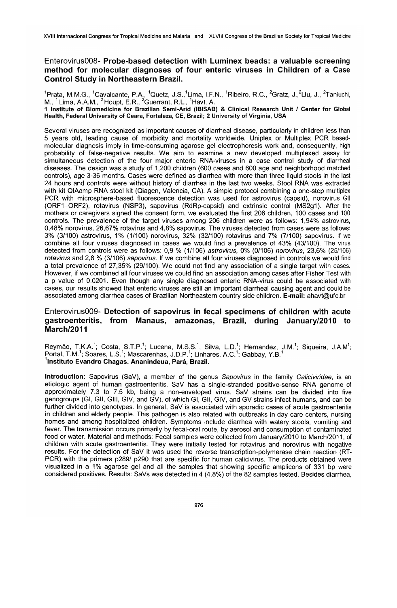## EnterovirusOO8- Probe-based detection with Luminex beads: a valuable screening method for molecular diagnoses of four enteric viruses in Children of a Case Control Study in Northeastern Brazil.

"Prata, M.M.G., "Cavalcante, P.A., "Quetz, J.S., Lima, I.F.N., "Ribeiro, R.C., "Gratz, J., Liu, J., "Taniuchi,<br>M., <sup>1</sup> Lima, A.A.M., <sup>2</sup> Houpt, E.R., <sup>2</sup>Guerrant, R.L., <sup>1</sup>Havt, A. 1 Institute of Biomedicine for Brazilian Semi-Arid (IBISAB) & Clinical Research Unit I Center for Global Health, Federal University of Ceara, Fortaleza, CE, Brazil; 2 University of Virginia, USA

Several viruses are recognized as important causes of diarrheal disease, particularly in children less than 5 years old, leading cause of morbidity and mortality worldwide. Uniplex or Multiplex PCR basedmolecular diagnosis imply in time-consuming agarose gel electrophoresis work and, consequently, high probability of false-negative results. We aim to examine a new developed multiplexed assay for simultaneous detection of the four major enteric RNA-viruses in a case control study of diarrheal diseases. The design was a study of 1,200 children (600 cases and 600 age and neighborhood matched controls), age 3-36 months. Cases were defined as diarrhea with more than three liquid stools in the last 24 hours and controls were without history of diarrhea in the last two weeks. Stool RNA was extracted with kit QIAamp RNA stool kit (Qiagen, Valencia, CA). A simple protocol combining a one-step multiplex PCR with microsphere-based fluorescence detection was used for astrovirus (capsid), norovirus Gil (ORF1-0RF2), rotavirus (NSP3), sapovirus (RdRp-capsid) and extrinsic contrai (MS2g1). After lhe mothers or caregivers signed the consent form, we evaluated the first 206 children, 100 cases and 100 controls. The prevalence of the target viruses among 206 children were as follows: 1,94% astrovirus, 0,48% norovirus, 26,67% rotavirus and 4,8% sapovirus. The viruses detected from cases were as follows: 3% (3/100) astrovirus, 1% (1/100) norovirus, 32% (32/100) rotavirus and 7% (7/100) sapovirus. If we combine ali four viruses diagnosed in cases we would find a prevalence of 43% (43/100). The virus detected from controls were as follows:  $0.9$  % (1/106) astrovirus, 0% (0/106) norovirus, 23,6% (25/106) rotavirus and 2,8 % (3/106) sapovirus. If we combine all four viruses diagnosed in controls we would find a total prevalence of 27,35% (29/100). We could not find any association of a single target with cases. However, if we combined ali four viruses we could find an association among cases after Fisher Test with a p value of 0.0201. Even though any single diagnosed enteric RNA-virus could be associated with cases, our results showed that enteric viruses are still an important diarrheal causing agent and could be i associated among diarrhea cases of Brazilian Northeastern country side children. E-mail: ahavt@ufc.br

## EnterovirusOO9- Detection of sapovirus in fecal specimens of children with acute gastroenteritis, from Manaus, amazonas, Brazil, during January/2010 to March/2011

Reymão, T.K.A.<sup>1</sup>; Costa, S.T.P.<sup>1</sup>; Lucena, M.S.S.<sup>1</sup>, Silva, L.D.<sup>1</sup>; Hernandez, J.M.<sup>1</sup>; Siqueira, J.A.M<sup>1</sup>; Portal, T.M.<sup>1</sup>; Soares, L.S.<sup>1</sup>; Mascarenhas, J.D.P.<sup>1</sup>; Linhares, A.C.<sup>1</sup>; Gabbay, Y.B.1 <sup>1</sup>Instituto Evandro Chagas. Ananindeua, Pará, Brazil.

Introduction: Sapovirus (SaV), a member of the genus Sapovirus in the family Caliciviridae, is an etiologic agent of human gastroenteritis. SaV has a single-stranded positive-sense RNA genome of approximately 7.3 to 7.5 kb, being a non-enveloped virus. SaV strains can be divided into tive genogroups (GI, Gil, GIII, GIV, and GV), of which GI, Gil, GIV, and GV strains infect humans, and can be further divided into genotypes. In general, SaV is associated with sporadic cases of acute gastroenteritis in children and elderly people. This pathogen is also related with outbreaks in day care centers, nursing homes and among hospitalized children. Symptoms include diarrhea with watery stools, vomiting and fever. The transmission occurs primarily by fecal-oral route, by aerosol and consumption of contaminated food or water. Material and methods: Fecal samples were collected from January/2010 to March/2011, af children with acute gastroenteritis. They were initially tested for rotavirus and norovirus with negative results. For the detection of SaV it was used the reverse transcription-polymerase chain reaction (RT-PCR) with the primers p289/ p290 that are specific for human calicivirus. The products obtained were visualized in a 1% agarose gel and all the samples that showing specific amplicons of 331 bp were considered positives. Results: SaVs was detected in 4 (4.8%) of the 82 samples tested. Besides diarrhea,